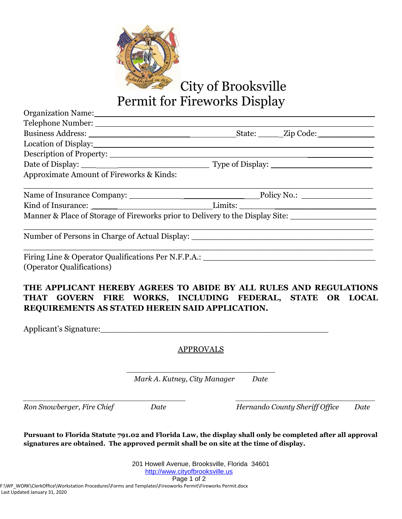

City of Brooksville

Permit for Fireworks Display

| Organization Name: 1988 and 2008 and 2010 and 2010 and 2010 and 2010 and 2010 and 2010 and 2010 and 2010 and 20                   |  |  |
|-----------------------------------------------------------------------------------------------------------------------------------|--|--|
|                                                                                                                                   |  |  |
|                                                                                                                                   |  |  |
|                                                                                                                                   |  |  |
|                                                                                                                                   |  |  |
|                                                                                                                                   |  |  |
| Approximate Amount of Fireworks & Kinds:                                                                                          |  |  |
|                                                                                                                                   |  |  |
|                                                                                                                                   |  |  |
| Manner & Place of Storage of Fireworks prior to Delivery to the Display Site: ______________________                              |  |  |
| Number of Persons in Charge of Actual Display: __________________________________                                                 |  |  |
| Firing Line & Operator Qualifications Per N.F.P.A.: _____________________________                                                 |  |  |
| (Operator Qualifications)                                                                                                         |  |  |
| THE APPLICANT HEREBY AGREES TO ABIDE BY ALL RULES AND REGULATIONS<br>TILAT COVEDN EIDE WODIZE. INCLIEDING EEDEDAL. CTATE OD LOCAL |  |  |

**THAT GOVERN FIRE WORKS, INCLUDING FEDERAL, STATE OR LOCAL REQUIREMENTS AS STATED HEREIN SAID APPLICATION.**

Applicant's Signature:

APPROVALS

\_\_\_\_\_\_\_\_\_\_\_\_\_\_\_\_\_\_\_\_\_\_\_\_\_\_\_\_\_\_\_\_ *Mark A. Kutney, City Manager Date*

*\_\_\_\_\_\_\_\_\_\_\_\_\_\_\_\_\_\_\_\_\_\_\_\_\_\_\_\_\_\_\_\_\_\_\_ \_\_\_\_\_\_\_\_\_\_\_\_\_\_\_\_\_\_\_\_\_\_\_\_\_\_\_\_\_\_*

*Ron Snowberger, Fire Chief Date Hernando County Sheriff Office Date*

**Pursuant to Florida Statute 791.02 and Florida Law, the display shall only be completed after all approval signatures are obtained. The approved permit shall be on site at the time of display.**

> 201 Howell Avenue, Brooksville, Florida 34601 [http://www.cityofbrooksville.us](http://www.cityofbrooksville.us/) Page 1 of 2

F:\WP\_WORK\ClerkOffice\Workstation Procedures\Forms and Templates\Fireoworks Permit\Fireworks Permit.docx Last Updated January 31, 2020